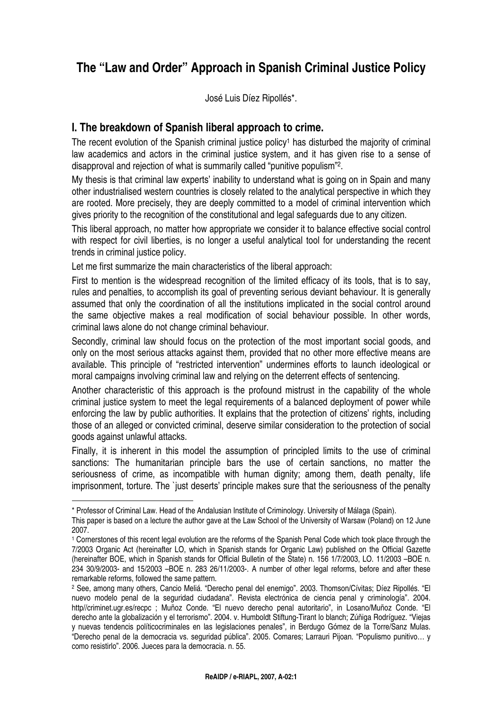# **The "Law and Order" Approach in Spanish Criminal Justice Policy**

José Luis Díez Ripollés\*.

## **I. The breakdown of Spanish liberal approach to crime.**

The recent evolution of the Spanish criminal justice policy<sup>1</sup> has disturbed the majority of criminal law academics and actors in the criminal justice system, and it has given rise to a sense of disapproval and rejection of what is summarily called "punitive populism"<sup>2</sup> .

My thesis is that criminal law experts' inability to understand what is going on in Spain and many other industrialised western countries is closely related to the analytical perspective in which they are rooted. More precisely, they are deeply committed to a model of criminal intervention which gives priority to the recognition of the constitutional and legal safeguards due to any citizen.

This liberal approach, no matter how appropriate we consider it to balance effective social control with respect for civil liberties, is no longer a useful analytical tool for understanding the recent trends in criminal justice policy.

Let me first summarize the main characteristics of the liberal approach:

First to mention is the widespread recognition of the limited efficacy of its tools, that is to say, rules and penalties, to accomplish its goal of preventing serious deviant behaviour. It is generally assumed that only the coordination of all the institutions implicated in the social control around the same objective makes a real modification of social behaviour possible. In other words, criminal laws alone do not change criminal behaviour.

Secondly, criminal law should focus on the protection of the most important social goods, and only on the most serious attacks against them, provided that no other more effective means are available. This principle of "restricted intervention" undermines efforts to launch ideological or moral campaigns involving criminal law and relying on the deterrent effects of sentencing.

Another characteristic of this approach is the profound mistrust in the capability of the whole criminal justice system to meet the legal requirements of a balanced deployment of power while enforcing the law by public authorities. It explains that the protection of citizens' rights, including those of an alleged or convicted criminal, deserve similar consideration to the protection of social goods against unlawful attacks.

Finally, it is inherent in this model the assumption of principled limits to the use of criminal sanctions: The humanitarian principle bars the use of certain sanctions, no matter the seriousness of crime, as incompatible with human dignity; among them, death penalty, life imprisonment, torture. The `just deserts' principle makes sure that the seriousness of the penalty

<sup>\*</sup> Professor of Criminal Law. Head of the Andalusian Institute of Criminology. University of Málaga (Spain).

This paper is based on a lecture the author gave at the Law School of the University of Warsaw (Poland) on 12 June 2007.

<sup>1</sup> Cornerstones of this recent legal evolution are the reforms of the Spanish Penal Code which took place through the 7/2003 Organic Act (hereinafter LO, which in Spanish stands for Organic Law) published on the Official Gazette (hereinafter BOE, which in Spanish stands for Official Bulletin of the State) n. 156 1/7/2003, LO. 11/2003 –BOE n. 234 30/9/2003- and 15/2003 –BOE n. 283 26/11/2003-. A number of other legal reforms, before and after these remarkable reforms, followed the same pattern.

<sup>2</sup> See, among many others, Cancio Meliá. "Derecho penal del enemigo". 2003. Thomson/Cívitas; Díez Ripollés. "El nuevo modelo penal de la seguridad ciudadana". Revista electrónica de ciencia penal y criminología". 2004. http//criminet.ugr.es/recpc ; Muñoz Conde. "El nuevo derecho penal autoritario", in Losano/Muñoz Conde. "El derecho ante la globalización y el terrorismo". 2004. v. Humboldt Stiftung-Tirant lo blanch; Zúñiga Rodríguez. "Viejas y nuevas tendencis políticocriminales en las legislaciones penales", in Berdugo Gómez de la Torre/Sanz Mulas. "Derecho penal de la democracia vs. seguridad pública". 2005. Comares; Larrauri Pijoan. "Populismo punitivo… y como resistirlo". 2006. Jueces para la democracia. n. 55.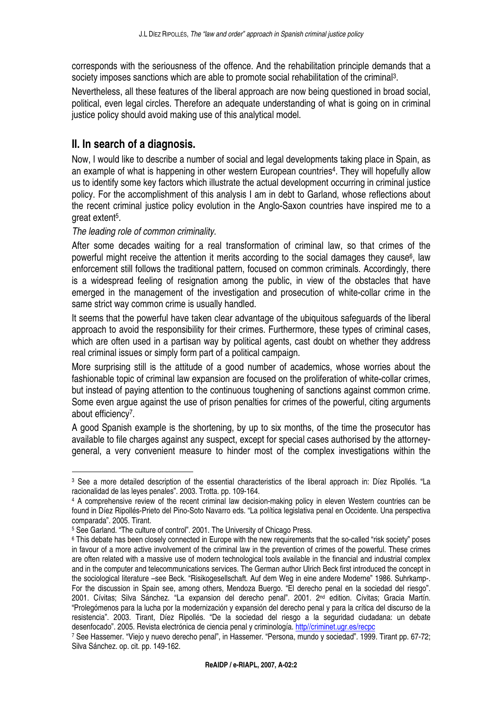corresponds with the seriousness of the offence. And the rehabilitation principle demands that a society imposes sanctions which are able to promote social rehabilitation of the criminal<sup>3</sup>.

Nevertheless, all these features of the liberal approach are now being questioned in broad social, political, even legal circles. Therefore an adequate understanding of what is going on in criminal justice policy should avoid making use of this analytical model.

# **II. In search of a diagnosis.**

Now, I would like to describe a number of social and legal developments taking place in Spain, as an example of what is happening in other western European countries<sup>4</sup>. They will hopefully allow us to identify some key factors which illustrate the actual development occurring in criminal justice policy. For the accomplishment of this analysis I am in debt to Garland, whose reflections about the recent criminal justice policy evolution in the Anglo-Saxon countries have inspired me to a great extent<sup>5</sup>.

### The leading role of common criminality.

 $\overline{a}$ 

After some decades waiting for a real transformation of criminal law, so that crimes of the powerful might receive the attention it merits according to the social damages they cause<sup>6</sup>, law enforcement still follows the traditional pattern, focused on common criminals. Accordingly, there is a widespread feeling of resignation among the public, in view of the obstacles that have emerged in the management of the investigation and prosecution of white-collar crime in the same strict way common crime is usually handled.

It seems that the powerful have taken clear advantage of the ubiquitous safeguards of the liberal approach to avoid the responsibility for their crimes. Furthermore, these types of criminal cases, which are often used in a partisan way by political agents, cast doubt on whether they address real criminal issues or simply form part of a political campaign.

More surprising still is the attitude of a good number of academics, whose worries about the fashionable topic of criminal law expansion are focused on the proliferation of white-collar crimes, but instead of paying attention to the continuous toughening of sanctions against common crime. Some even argue against the use of prison penalties for crimes of the powerful, citing arguments about efficiency<sup>7</sup>.

A good Spanish example is the shortening, by up to six months, of the time the prosecutor has available to file charges against any suspect, except for special cases authorised by the attorneygeneral, a very convenient measure to hinder most of the complex investigations within the

<sup>3</sup> See a more detailed description of the essential characteristics of the liberal approach in: Díez Ripollés. "La racionalidad de las leyes penales". 2003. Trotta. pp. 109-164.

<sup>4</sup> A comprehensive review of the recent criminal law decision-making policy in eleven Western countries can be found in Díez Ripollés-Prieto del Pino-Soto Navarro eds. "La política legislativa penal en Occidente. Una perspectiva comparada". 2005. Tirant.

<sup>5</sup> See Garland. "The culture of control". 2001. The University of Chicago Press.

<sup>6</sup> This debate has been closely connected in Europe with the new requirements that the so-called "risk society" poses in favour of a more active involvement of the criminal law in the prevention of crimes of the powerful. These crimes are often related with a massive use of modern technological tools available in the financial and industrial complex and in the computer and telecommunications services. The German author Ulrich Beck first introduced the concept in the sociological literature –see Beck. "Risikogesellschaft. Auf dem Weg in eine andere Moderne" 1986. Suhrkamp-. For the discussion in Spain see, among others, Mendoza Buergo. "El derecho penal en la sociedad del riesgo". 2001. Cívitas; Silva Sánchez. "La expansion del derecho penal". 2001. 2nd edition. Cívitas; Gracia Martín. "Prolegómenos para la lucha por la modernización y expansión del derecho penal y para la crítica del discurso de la resistencia". 2003. Tirant, Díez Ripollés. "De la sociedad del riesgo a la seguridad ciudadana: un debate desenfocado". 2005. Revista electrónica de ciencia penal y criminología. http//criminet.ugr.es/recpc

<sup>7</sup> See Hassemer. "Viejo y nuevo derecho penal", in Hassemer. "Persona, mundo y sociedad". 1999. Tirant pp. 67-72; Silva Sánchez. op. cit. pp. 149-162.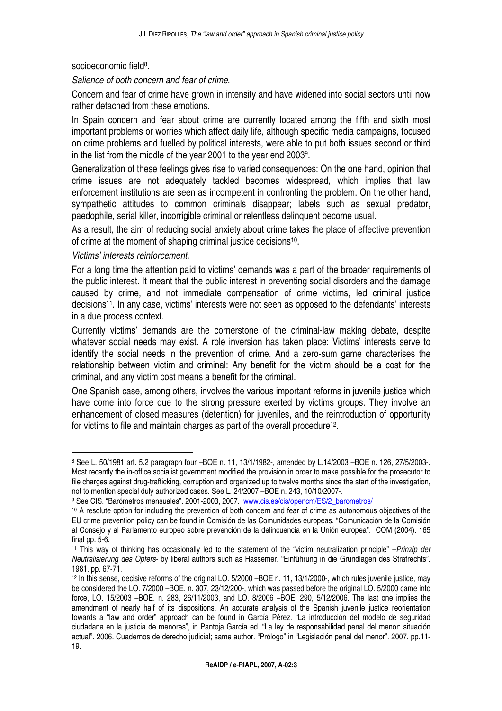socioeconomic field<sup>8</sup>.

Salience of both concern and fear of crime.

Concern and fear of crime have grown in intensity and have widened into social sectors until now rather detached from these emotions.

In Spain concern and fear about crime are currently located among the fifth and sixth most important problems or worries which affect daily life, although specific media campaigns, focused on crime problems and fuelled by political interests, were able to put both issues second or third in the list from the middle of the year 2001 to the year end 2003<sup>9</sup> .

Generalization of these feelings gives rise to varied consequences: On the one hand, opinion that crime issues are not adequately tackled becomes widespread, which implies that law enforcement institutions are seen as incompetent in confronting the problem. On the other hand, sympathetic attitudes to common criminals disappear; labels such as sexual predator, paedophile, serial killer, incorrigible criminal or relentless delinquent become usual.

As a result, the aim of reducing social anxiety about crime takes the place of effective prevention of crime at the moment of shaping criminal justice decisions<sup>10</sup>.

#### Victims' interests reinforcement.

 $\overline{a}$ 

For a long time the attention paid to victims' demands was a part of the broader requirements of the public interest. It meant that the public interest in preventing social disorders and the damage caused by crime, and not immediate compensation of crime victims, led criminal justice decisions<sup>11</sup>. In any case, victims' interests were not seen as opposed to the defendants' interests in a due process context.

Currently victims' demands are the cornerstone of the criminal-law making debate, despite whatever social needs may exist. A role inversion has taken place: Victims' interests serve to identify the social needs in the prevention of crime. And a zero-sum game characterises the relationship between victim and criminal: Any benefit for the victim should be a cost for the criminal, and any victim cost means a benefit for the criminal.

One Spanish case, among others, involves the various important reforms in juvenile justice which have come into force due to the strong pressure exerted by victims groups. They involve an enhancement of closed measures (detention) for juveniles, and the reintroduction of opportunity for victims to file and maintain charges as part of the overall procedure<sup>12</sup>.

<sup>8</sup> See L. 50/1981 art. 5.2 paragraph four –BOE n. 11, 13/1/1982-, amended by L.14/2003 –BOE n. 126, 27/5/2003-. Most recently the in-office socialist government modified the provision in order to make possible for the prosecutor to file charges against drug-trafficking, corruption and organized up to twelve months since the start of the investigation, not to mention special duly authorized cases. See L. 24/2007 –BOE n. 243, 10/10/2007-.

<sup>&</sup>lt;sup>9</sup> See CIS. "Barómetros mensuales". 2001-2003, 2007. www.cis.es/cis/opencm/ES/2\_barometros/

<sup>10</sup> A resolute option for including the prevention of both concern and fear of crime as autonomous objectives of the EU crime prevention policy can be found in Comisión de las Comunidades europeas. "Comunicación de la Comisión al Consejo y al Parlamento europeo sobre prevención de la delincuencia en la Unión europea". COM (2004). 165 final pp. 5-6.

<sup>&</sup>lt;sup>11</sup> This way of thinking has occasionally led to the statement of the "victim neutralization principle" –Prinzip der Neutralisierung des Opfers- by liberal authors such as Hassemer. "Einführung in die Grundlagen des Strafrechts". 1981. pp. 67-71.

<sup>12</sup> In this sense, decisive reforms of the original LO. 5/2000 –BOE n. 11, 13/1/2000-, which rules juvenile justice, may be considered the LO. 7/2000 –BOE. n. 307, 23/12/200-, which was passed before the original LO. 5/2000 came into force, LO. 15/2003 –BOE. n. 283, 26/11/2003, and LO. 8/2006 –BOE. 290, 5/12/2006. The last one implies the amendment of nearly half of its dispositions. An accurate analysis of the Spanish juvenile justice reorientation towards a "law and order" approach can be found in García Pérez. "La introducción del modelo de seguridad ciudadana en la justicia de menores", in Pantoja García ed. "La ley de responsabilidad penal del menor: situación actual". 2006. Cuadernos de derecho judicial; same author. "Prólogo" in "Legislación penal del menor". 2007. pp.11- 19.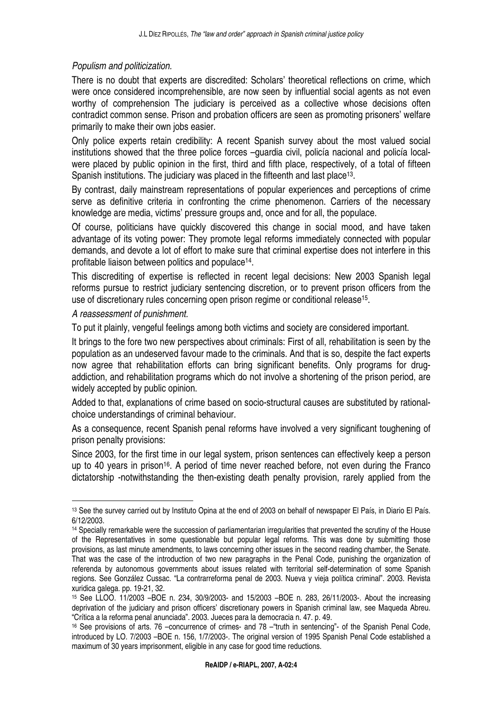#### Populism and politicization.

There is no doubt that experts are discredited: Scholars' theoretical reflections on crime, which were once considered incomprehensible, are now seen by influential social agents as not even worthy of comprehension The judiciary is perceived as a collective whose decisions often contradict common sense. Prison and probation officers are seen as promoting prisoners' welfare primarily to make their own jobs easier.

Only police experts retain credibility: A recent Spanish survey about the most valued social institutions showed that the three police forces –guardia civil, policía nacional and policía localwere placed by public opinion in the first, third and fifth place, respectively, of a total of fifteen Spanish institutions. The judiciary was placed in the fifteenth and last place<sup>13</sup>.

By contrast, daily mainstream representations of popular experiences and perceptions of crime serve as definitive criteria in confronting the crime phenomenon. Carriers of the necessary knowledge are media, victims' pressure groups and, once and for all, the populace.

Of course, politicians have quickly discovered this change in social mood, and have taken advantage of its voting power: They promote legal reforms immediately connected with popular demands, and devote a lot of effort to make sure that criminal expertise does not interfere in this profitable liaison between politics and populace<sup>14</sup>.

This discrediting of expertise is reflected in recent legal decisions: New 2003 Spanish legal reforms pursue to restrict judiciary sentencing discretion, or to prevent prison officers from the use of discretionary rules concerning open prison regime or conditional release<sup>15</sup> .

#### A reassessment of punishment.

 $\overline{a}$ 

To put it plainly, vengeful feelings among both victims and society are considered important.

It brings to the fore two new perspectives about criminals: First of all, rehabilitation is seen by the population as an undeserved favour made to the criminals. And that is so, despite the fact experts now agree that rehabilitation efforts can bring significant benefits. Only programs for drugaddiction, and rehabilitation programs which do not involve a shortening of the prison period, are widely accepted by public opinion.

Added to that, explanations of crime based on socio-structural causes are substituted by rationalchoice understandings of criminal behaviour.

As a consequence, recent Spanish penal reforms have involved a very significant toughening of prison penalty provisions:

Since 2003, for the first time in our legal system, prison sentences can effectively keep a person up to 40 years in prison<sup>16</sup>. A period of time never reached before, not even during the Franco dictatorship -notwithstanding the then-existing death penalty provision, rarely applied from the

<sup>13</sup> See the survey carried out by Instituto Opina at the end of 2003 on behalf of newspaper El País, in Diario El País. 6/12/2003.

<sup>14</sup> Specially remarkable were the succession of parliamentarian irregularities that prevented the scrutiny of the House of the Representatives in some questionable but popular legal reforms. This was done by submitting those provisions, as last minute amendments, to laws concerning other issues in the second reading chamber, the Senate. That was the case of the introduction of two new paragraphs in the Penal Code, punishing the organization of referenda by autonomous governments about issues related with territorial self-determination of some Spanish regions. See González Cussac. "La contrarreforma penal de 2003. Nueva y vieja política criminal". 2003. Revista xuridica galega. pp. 19-21, 32.

<sup>15</sup> See LLOO. 11/2003 –BOE n. 234, 30/9/2003- and 15/2003 –BOE n. 283, 26/11/2003-. About the increasing deprivation of the judiciary and prison officers' discretionary powers in Spanish criminal law, see Maqueda Abreu. "Crítica a la reforma penal anunciada". 2003. Jueces para la democracia n. 47. p. 49.

<sup>16</sup> See provisions of arts. 76 –concurrence of crimes- and 78 –"truth in sentencing"- of the Spanish Penal Code, introduced by LO. 7/2003 –BOE n. 156, 1/7/2003-. The original version of 1995 Spanish Penal Code established a maximum of 30 years imprisonment, eligible in any case for good time reductions.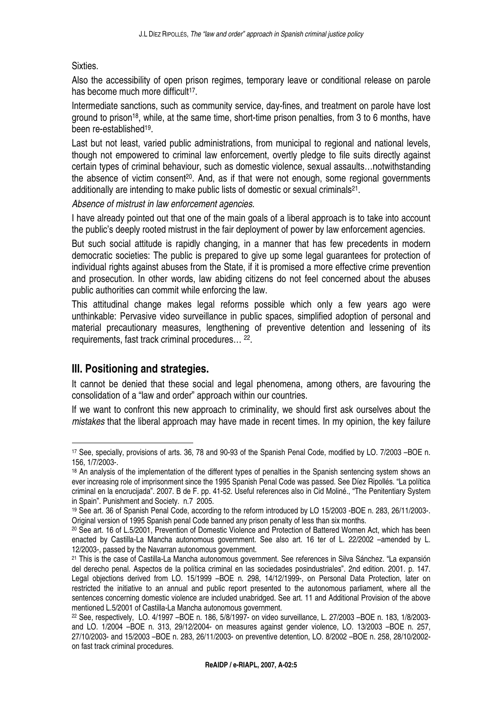#### Sixties.

Also the accessibility of open prison regimes, temporary leave or conditional release on parole has become much more difficult<sup>17</sup>.

Intermediate sanctions, such as community service, day-fines, and treatment on parole have lost ground to prison<sup>18</sup>, while, at the same time, short-time prison penalties, from 3 to 6 months, have been re-established<sup>19</sup> .

Last but not least, varied public administrations, from municipal to regional and national levels, though not empowered to criminal law enforcement, overtly pledge to file suits directly against certain types of criminal behaviour, such as domestic violence, sexual assaults…notwithstanding the absence of victim consent<sup>20</sup>. And, as if that were not enough, some regional governments additionally are intending to make public lists of domestic or sexual criminals<sup>21</sup>.

Absence of mistrust in law enforcement agencies.

I have already pointed out that one of the main goals of a liberal approach is to take into account the public's deeply rooted mistrust in the fair deployment of power by law enforcement agencies.

But such social attitude is rapidly changing, in a manner that has few precedents in modern democratic societies: The public is prepared to give up some legal guarantees for protection of individual rights against abuses from the State, if it is promised a more effective crime prevention and prosecution. In other words, law abiding citizens do not feel concerned about the abuses public authorities can commit while enforcing the law.

This attitudinal change makes legal reforms possible which only a few years ago were unthinkable: Pervasive video surveillance in public spaces, simplified adoption of personal and material precautionary measures, lengthening of preventive detention and lessening of its requirements, fast track criminal procedures… <sup>22</sup> .

## **III. Positioning and strategies.**

 $\overline{a}$ 

It cannot be denied that these social and legal phenomena, among others, are favouring the consolidation of a "law and order" approach within our countries.

If we want to confront this new approach to criminality, we should first ask ourselves about the mistakes that the liberal approach may have made in recent times. In my opinion, the key failure

<sup>17</sup> See, specially, provisions of arts. 36, 78 and 90-93 of the Spanish Penal Code, modified by LO. 7/2003 –BOE n. 156, 1/7/2003-.

<sup>&</sup>lt;sup>18</sup> An analysis of the implementation of the different types of penalties in the Spanish sentencing system shows an ever increasing role of imprisonment since the 1995 Spanish Penal Code was passed. See Díez Ripollés. "La política criminal en la encrucijada". 2007. B de F. pp. 41-52. Useful references also in Cid Moliné., "The Penitentiary System in Spain". Punishment and Society. n.7 2005.

<sup>19</sup> See art. 36 of Spanish Penal Code, according to the reform introduced by LO 15/2003 -BOE n. 283, 26/11/2003-. Original version of 1995 Spanish penal Code banned any prison penalty of less than six months.

<sup>20</sup> See art. 16 of L.5/2001, Prevention of Domestic Violence and Protection of Battered Women Act, which has been enacted by Castilla-La Mancha autonomous government. See also art. 16 ter of L. 22/2002 –amended by L. 12/2003-, passed by the Navarran autonomous government.

<sup>21</sup> This is the case of Castilla-La Mancha autonomous government. See references in Silva Sánchez. "La expansión del derecho penal. Aspectos de la política criminal en las sociedades posindustriales". 2nd edition. 2001. p. 147. Legal objections derived from LO. 15/1999 –BOE n. 298, 14/12/1999-, on Personal Data Protection, later on restricted the initiative to an annual and public report presented to the autonomous parliament, where all the sentences concerning domestic violence are included unabridged. See art. 11 and Additional Provision of the above mentioned L.5/2001 of Castilla-La Mancha autonomous government.

<sup>22</sup> See, respectively, LO. 4/1997 –BOE n. 186, 5/8/1997- on video surveillance, L. 27/2003 –BOE n. 183, 1/8/2003 and LO. 1/2004 –BOE n. 313, 29/12/2004- on measures against gender violence, LO. 13/2003 –BOE n. 257, 27/10/2003- and 15/2003 –BOE n. 283, 26/11/2003- on preventive detention, LO. 8/2002 –BOE n. 258, 28/10/2002 on fast track criminal procedures.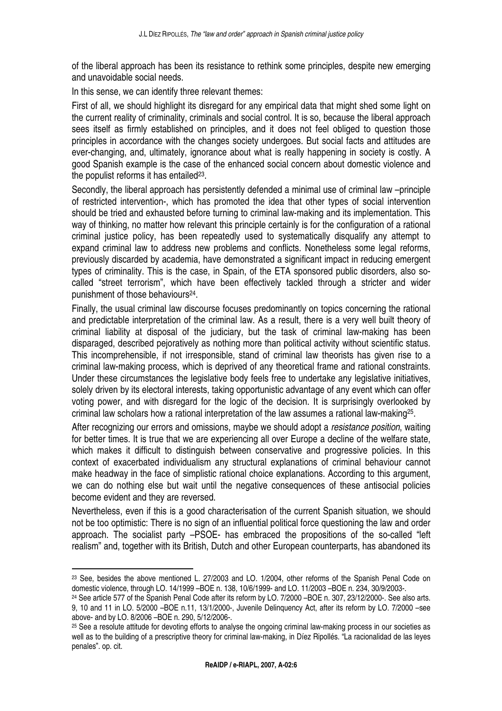of the liberal approach has been its resistance to rethink some principles, despite new emerging and unavoidable social needs.

In this sense, we can identify three relevant themes:

First of all, we should highlight its disregard for any empirical data that might shed some light on the current reality of criminality, criminals and social control. It is so, because the liberal approach sees itself as firmly established on principles, and it does not feel obliged to question those principles in accordance with the changes society undergoes. But social facts and attitudes are ever-changing, and, ultimately, ignorance about what is really happening in society is costly. A good Spanish example is the case of the enhanced social concern about domestic violence and the populist reforms it has entailed $23$ .

Secondly, the liberal approach has persistently defended a minimal use of criminal law –principle of restricted intervention-, which has promoted the idea that other types of social intervention should be tried and exhausted before turning to criminal law-making and its implementation. This way of thinking, no matter how relevant this principle certainly is for the configuration of a rational criminal justice policy, has been repeatedly used to systematically disqualify any attempt to expand criminal law to address new problems and conflicts. Nonetheless some legal reforms, previously discarded by academia, have demonstrated a significant impact in reducing emergent types of criminality. This is the case, in Spain, of the ETA sponsored public disorders, also socalled "street terrorism", which have been effectively tackled through a stricter and wider punishment of those behaviours<sup>24</sup>.

Finally, the usual criminal law discourse focuses predominantly on topics concerning the rational and predictable interpretation of the criminal law. As a result, there is a very well built theory of criminal liability at disposal of the judiciary, but the task of criminal law-making has been disparaged, described pejoratively as nothing more than political activity without scientific status. This incomprehensible, if not irresponsible, stand of criminal law theorists has given rise to a criminal law-making process, which is deprived of any theoretical frame and rational constraints. Under these circumstances the legislative body feels free to undertake any legislative initiatives, solely driven by its electoral interests, taking opportunistic advantage of any event which can offer voting power, and with disregard for the logic of the decision. It is surprisingly overlooked by criminal law scholars how a rational interpretation of the law assumes a rational law-making<sup>25</sup>.

After recognizing our errors and omissions, maybe we should adopt a resistance position, waiting for better times. It is true that we are experiencing all over Europe a decline of the welfare state, which makes it difficult to distinguish between conservative and progressive policies. In this context of exacerbated individualism any structural explanations of criminal behaviour cannot make headway in the face of simplistic rational choice explanations. According to this argument, we can do nothing else but wait until the negative consequences of these antisocial policies become evident and they are reversed.

Nevertheless, even if this is a good characterisation of the current Spanish situation, we should not be too optimistic: There is no sign of an influential political force questioning the law and order approach. The socialist party –PSOE- has embraced the propositions of the so-called "left realism" and, together with its British, Dutch and other European counterparts, has abandoned its

<sup>&</sup>lt;sup>23</sup> See, besides the above mentioned L. 27/2003 and LO. 1/2004, other reforms of the Spanish Penal Code on domestic violence, through LO. 14/1999 –BOE n. 138, 10/6/1999- and LO. 11/2003 –BOE n. 234, 30/9/2003-.

<sup>&</sup>lt;sup>24</sup> See article 577 of the Spanish Penal Code after its reform by LO. 7/2000 –BOE n. 307, 23/12/2000-. See also arts. 9, 10 and 11 in LO. 5/2000 –BOE n.11, 13/1/2000-, Juvenile Delinquency Act, after its reform by LO. 7/2000 –see above- and by LO. 8/2006 –BOE n. 290, 5/12/2006-.

<sup>&</sup>lt;sup>25</sup> See a resolute attitude for devoting efforts to analyse the ongoing criminal law-making process in our societies as well as to the building of a prescriptive theory for criminal law-making, in Díez Ripollés. "La racionalidad de las leyes penales". op. cit.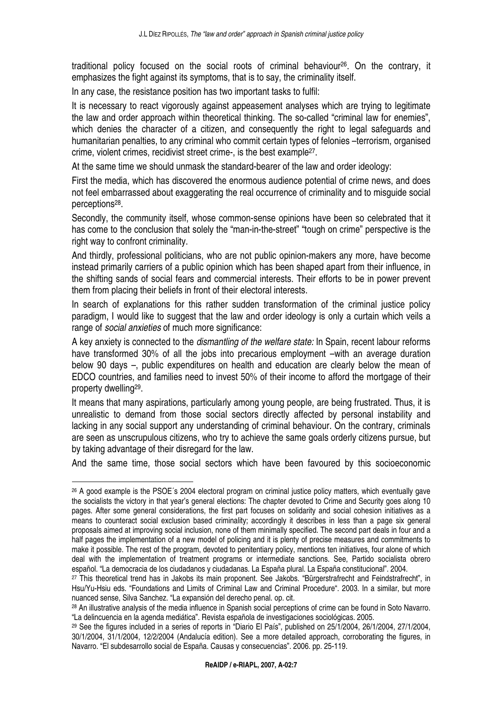traditional policy focused on the social roots of criminal behaviour26. On the contrary, it emphasizes the fight against its symptoms, that is to say, the criminality itself.

In any case, the resistance position has two important tasks to fulfil:

It is necessary to react vigorously against appeasement analyses which are trying to legitimate the law and order approach within theoretical thinking. The so-called "criminal law for enemies", which denies the character of a citizen, and consequently the right to legal safeguards and humanitarian penalties, to any criminal who commit certain types of felonies –terrorism, organised crime, violent crimes, recidivist street crime-, is the best example<sup>27</sup>.

At the same time we should unmask the standard-bearer of the law and order ideology:

First the media, which has discovered the enormous audience potential of crime news, and does not feel embarrassed about exaggerating the real occurrence of criminality and to misguide social perceptions<sup>28</sup>.

Secondly, the community itself, whose common-sense opinions have been so celebrated that it has come to the conclusion that solely the "man-in-the-street" "tough on crime" perspective is the right way to confront criminality.

And thirdly, professional politicians, who are not public opinion-makers any more, have become instead primarily carriers of a public opinion which has been shaped apart from their influence, in the shifting sands of social fears and commercial interests. Their efforts to be in power prevent them from placing their beliefs in front of their electoral interests.

In search of explanations for this rather sudden transformation of the criminal justice policy paradigm, I would like to suggest that the law and order ideology is only a curtain which veils a range of social anxieties of much more significance:

A key anxiety is connected to the *dismantling of the welfare state:* In Spain, recent labour reforms have transformed 30% of all the jobs into precarious employment –with an average duration below 90 days –, public expenditures on health and education are clearly below the mean of EDCO countries, and families need to invest 50% of their income to afford the mortgage of their property dwelling<sup>29</sup>.

It means that many aspirations, particularly among young people, are being frustrated. Thus, it is unrealistic to demand from those social sectors directly affected by personal instability and lacking in any social support any understanding of criminal behaviour. On the contrary, criminals are seen as unscrupulous citizens, who try to achieve the same goals orderly citizens pursue, but by taking advantage of their disregard for the law.

And the same time, those social sectors which have been favoured by this socioeconomic

<sup>26</sup> A good example is the PSOE´s 2004 electoral program on criminal justice policy matters, which eventually gave the socialists the victory in that year's general elections: The chapter devoted to Crime and Security goes along 10 pages. After some general considerations, the first part focuses on solidarity and social cohesion initiatives as a means to counteract social exclusion based criminality; accordingly it describes in less than a page six general proposals aimed at improving social inclusion, none of them minimally specified. The second part deals in four and a half pages the implementation of a new model of policing and it is plenty of precise measures and commitments to make it possible. The rest of the program, devoted to penitentiary policy, mentions ten initiatives, four alone of which deal with the implementation of treatment programs or intermediate sanctions. See, Partido socialista obrero español. "La democracia de los ciudadanos y ciudadanas. La España plural. La España constitucional". 2004.

<sup>&</sup>lt;sup>27</sup> This theoretical trend has in Jakobs its main proponent. See Jakobs. "Bürgerstrafrecht and Feindstrafrecht", in Hsu/Yu-Hsiu eds. "Foundations and Limits of Criminal Law and Criminal Procedure". 2003. In a similar, but more nuanced sense, Silva Sanchez. "La expansión del derecho penal. op. cit.

<sup>28</sup> An illustrative analysis of the media influence in Spanish social perceptions of crime can be found in Soto Navarro. "La delincuencia en la agenda mediática". Revista española de investigaciones sociológicas. 2005.

<sup>&</sup>lt;sup>29</sup> See the figures included in a series of reports in "Diario El País", published on 25/1/2004, 26/1/2004, 27/1/2004, 30/1/2004, 31/1/2004, 12/2/2004 (Andalucía edition). See a more detailed approach, corroborating the figures, in Navarro. "El subdesarrollo social de España. Causas y consecuencias". 2006. pp. 25-119.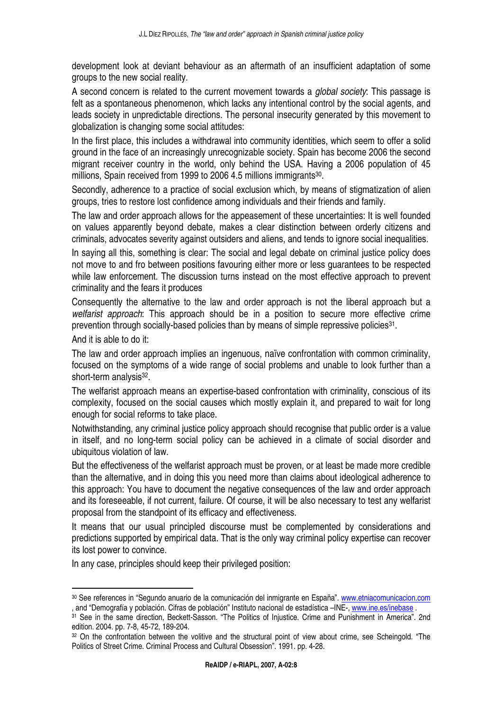development look at deviant behaviour as an aftermath of an insufficient adaptation of some groups to the new social reality.

A second concern is related to the current movement towards a *global society*: This passage is felt as a spontaneous phenomenon, which lacks any intentional control by the social agents, and leads society in unpredictable directions. The personal insecurity generated by this movement to globalization is changing some social attitudes:

In the first place, this includes a withdrawal into community identities, which seem to offer a solid ground in the face of an increasingly unrecognizable society. Spain has become 2006 the second migrant receiver country in the world, only behind the USA. Having a 2006 population of 45 millions, Spain received from 1999 to 2006 4.5 millions immigrants<sup>30</sup>.

Secondly, adherence to a practice of social exclusion which, by means of stigmatization of alien groups, tries to restore lost confidence among individuals and their friends and family.

The law and order approach allows for the appeasement of these uncertainties: It is well founded on values apparently beyond debate, makes a clear distinction between orderly citizens and criminals, advocates severity against outsiders and aliens, and tends to ignore social inequalities.

In saying all this, something is clear: The social and legal debate on criminal justice policy does not move to and fro between positions favouring either more or less guarantees to be respected while law enforcement. The discussion turns instead on the most effective approach to prevent criminality and the fears it produces

Consequently the alternative to the law and order approach is not the liberal approach but a welfarist approach: This approach should be in a position to secure more effective crime prevention through socially-based policies than by means of simple repressive policies<sup>31</sup>.

And it is able to do it:

 $\overline{a}$ 

The law and order approach implies an ingenuous, naïve confrontation with common criminality, focused on the symptoms of a wide range of social problems and unable to look further than a short-term analysis<sup>32</sup>.

The welfarist approach means an expertise-based confrontation with criminality, conscious of its complexity, focused on the social causes which mostly explain it, and prepared to wait for long enough for social reforms to take place.

Notwithstanding, any criminal justice policy approach should recognise that public order is a value in itself, and no long-term social policy can be achieved in a climate of social disorder and ubiquitous violation of law.

But the effectiveness of the welfarist approach must be proven, or at least be made more credible than the alternative, and in doing this you need more than claims about ideological adherence to this approach: You have to document the negative consequences of the law and order approach and its foreseeable, if not current, failure. Of course, it will be also necessary to test any welfarist proposal from the standpoint of its efficacy and effectiveness.

It means that our usual principled discourse must be complemented by considerations and predictions supported by empirical data. That is the only way criminal policy expertise can recover its lost power to convince.

In any case, principles should keep their privileged position:

<sup>30</sup> See references in "Segundo anuario de la comunicación del inmigrante en España". www.etniacomunicacion.com , and "Demografía y población. Cifras de población" Instituto nacional de estadística –INE-, www.ine.es/inebase .

<sup>31</sup> See in the same direction, Beckett-Sasson. "The Politics of Injustice. Crime and Punishment in America". 2nd edition. 2004. pp. 7-8, 45-72, 189-204.

<sup>32</sup> On the confrontation between the volitive and the structural point of view about crime, see Scheingold. "The Politics of Street Crime. Criminal Process and Cultural Obsession". 1991. pp. 4-28.